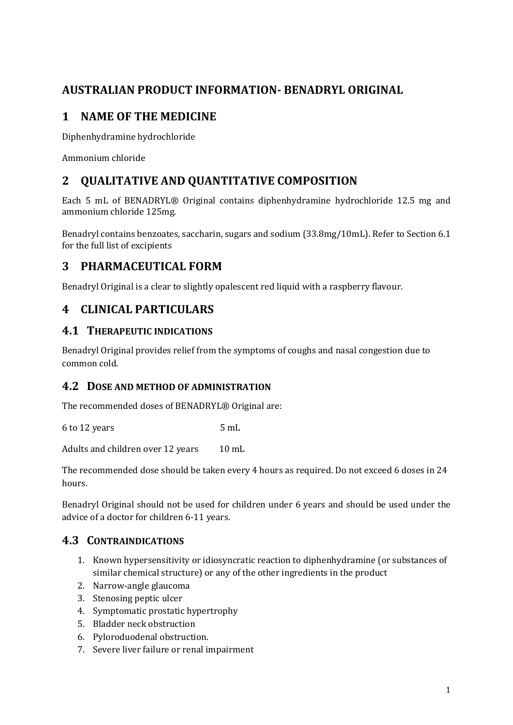# **AUSTRALIAN PRODUCT INFORMATION- BENADRYL ORIGINAL**

# **1 NAME OF THE MEDICINE**

Diphenhydramine hydrochloride

Ammonium chloride

# **2 QUALITATIVE AND QUANTITATIVE COMPOSITION**

Each 5 mL of BENADRYL® Original contains diphenhydramine hydrochloride 12.5 mg and ammonium chloride 125mg.

Benadryl contains benzoates, saccharin, sugars and sodium (33.8mg/10mL). Refer to Section 6.1 for the full list of excipients

# **3 PHARMACEUTICAL FORM**

Benadryl Original is a clear to slightly opalescent red liquid with a raspberry flavour.

# **4 CLINICAL PARTICULARS**

## **4.1 THERAPEUTIC INDICATIONS**

Benadryl Original provides relief from the symptoms of coughs and nasal congestion due to common cold.

## **4.2 DOSE AND METHOD OF ADMINISTRATION**

The recommended doses of BENADRYL® Original are:

6 to 12 years 5 mL

Adults and children over 12 years 10 mL

The recommended dose should be taken every 4 hours as required. Do not exceed 6 doses in 24 hours.

Benadryl Original should not be used for children under 6 years and should be used under the advice of a doctor for children 6-11 years.

## **4.3 CONTRAINDICATIONS**

- 1. Known hypersensitivity or idiosyncratic reaction to diphenhydramine (or substances of similar chemical structure) or any of the other ingredients in the product
- 2. Narrow-angle glaucoma
- 3. Stenosing peptic ulcer
- 4. Symptomatic prostatic hypertrophy
- 5. Bladder neck obstruction
- 6. Pyloroduodenal obstruction.
- 7. Severe liver failure or renal impairment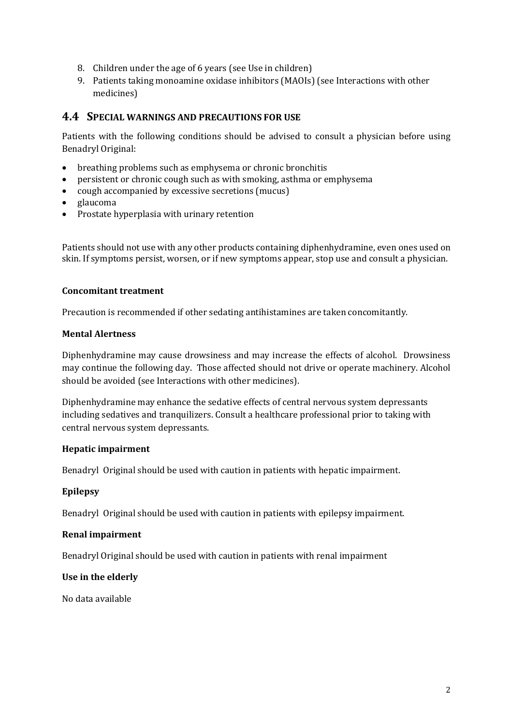- 8. Children under the age of 6 years (see Use in children)
- 9. Patients taking monoamine oxidase inhibitors (MAOIs) (see Interactions with other medicines)

### **4.4 SPECIAL WARNINGS AND PRECAUTIONS FOR USE**

Patients with the following conditions should be advised to consult a physician before using Benadryl Original:

- breathing problems such as emphysema or chronic bronchitis
- persistent or chronic cough such as with smoking, asthma or emphysema
- cough accompanied by excessive secretions (mucus)
- glaucoma
- Prostate hyperplasia with urinary retention

Patients should not use with any other products containing diphenhydramine, even ones used on skin. If symptoms persist, worsen, or if new symptoms appear, stop use and consult a physician.

#### **Concomitant treatment**

Precaution is recommended if other sedating antihistamines are taken concomitantly.

#### **Mental Alertness**

Diphenhydramine may cause drowsiness and may increase the effects of alcohol. Drowsiness may continue the following day. Those affected should not drive or operate machinery. Alcohol should be avoided (see Interactions with other medicines).

Diphenhydramine may enhance the sedative effects of central nervous system depressants including sedatives and tranquilizers. Consult a healthcare professional prior to taking with central nervous system depressants.

#### **Hepatic impairment**

Benadryl Original should be used with caution in patients with hepatic impairment.

#### **Epilepsy**

Benadryl Original should be used with caution in patients with epilepsy impairment.

#### **Renal impairment**

Benadryl Original should be used with caution in patients with renal impairment

#### **Use in the elderly**

No data available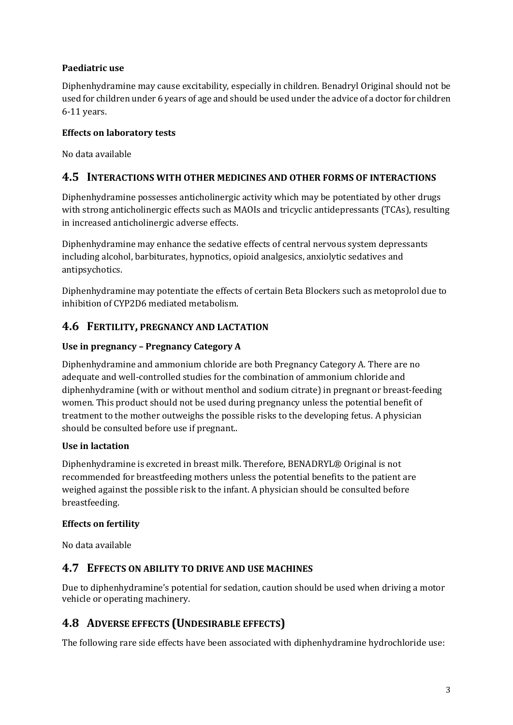### **Paediatric use**

Diphenhydramine may cause excitability, especially in children. Benadryl Original should not be used for children under 6 years of age and should be used under the advice of a doctor for children 6-11 years.

### **Effects on laboratory tests**

No data available

### **4.5 INTERACTIONS WITH OTHER MEDICINES AND OTHER FORMS OF INTERACTIONS**

Diphenhydramine possesses anticholinergic activity which may be potentiated by other drugs with strong anticholinergic effects such as MAOIs and tricyclic antidepressants (TCAs), resulting in increased anticholinergic adverse effects.

Diphenhydramine may enhance the sedative effects of central nervous system depressants including alcohol, barbiturates, hypnotics, opioid analgesics, anxiolytic sedatives and antipsychotics.

Diphenhydramine may potentiate the effects of certain Beta Blockers such as metoprolol due to inhibition of CYP2D6 mediated metabolism.

## **4.6 FERTILITY, PREGNANCY AND LACTATION**

### **Use in pregnancy – Pregnancy Category A**

Diphenhydramine and ammonium chloride are both Pregnancy Category A. There are no adequate and well-controlled studies for the combination of ammonium chloride and diphenhydramine (with or without menthol and sodium citrate) in pregnant or breast-feeding women. This product should not be used during pregnancy unless the potential benefit of treatment to the mother outweighs the possible risks to the developing fetus. A physician should be consulted before use if pregnant..

### **Use in lactation**

Diphenhydramine is excreted in breast milk. Therefore, BENADRYL® Original is not recommended for breastfeeding mothers unless the potential benefits to the patient are weighed against the possible risk to the infant. A physician should be consulted before breastfeeding.

### **Effects on fertility**

No data available

### **4.7 EFFECTS ON ABILITY TO DRIVE AND USE MACHINES**

Due to diphenhydramine's potential for sedation, caution should be used when driving a motor vehicle or operating machinery.

# **4.8 ADVERSE EFFECTS (UNDESIRABLE EFFECTS)**

The following rare side effects have been associated with diphenhydramine hydrochloride use: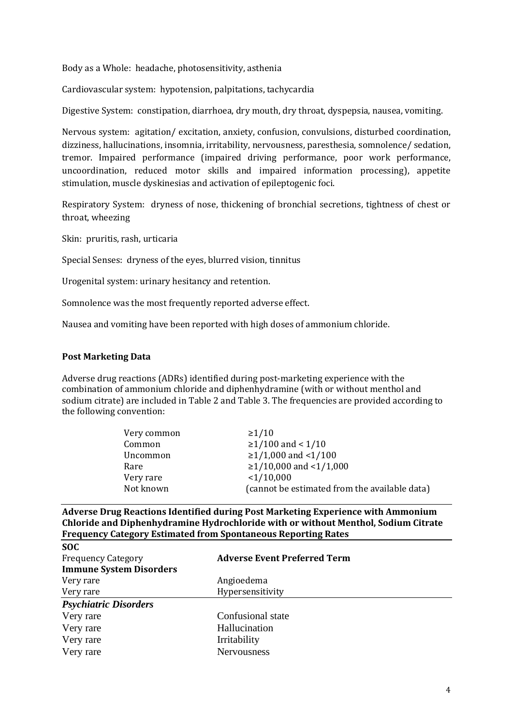Body as a Whole: headache, photosensitivity, asthenia

Cardiovascular system: hypotension, palpitations, tachycardia

Digestive System: constipation, diarrhoea, dry mouth, dry throat, dyspepsia, nausea, vomiting.

Nervous system: agitation/ excitation, anxiety, confusion, convulsions, disturbed coordination, dizziness, hallucinations, insomnia, irritability, nervousness, paresthesia, somnolence/ sedation, tremor. Impaired performance (impaired driving performance, poor work performance, uncoordination, reduced motor skills and impaired information processing), appetite stimulation, muscle dyskinesias and activation of epileptogenic foci.

Respiratory System: dryness of nose, thickening of bronchial secretions, tightness of chest or throat, wheezing

Skin: pruritis, rash, urticaria

Special Senses: dryness of the eyes, blurred vision, tinnitus

Urogenital system: urinary hesitancy and retention.

Somnolence was the most frequently reported adverse effect.

Nausea and vomiting have been reported with high doses of ammonium chloride.

#### **Post Marketing Data**

Adverse drug reactions (ADRs) identified during post-marketing experience with the combination of ammonium chloride and diphenhydramine (with or without menthol and sodium citrate) are included in Table 2 and Table 3. The frequencies are provided according to the following convention:

| Very common     | $\geq 1/10$                                   |
|-----------------|-----------------------------------------------|
| Common          | ≥1/100 and < 1/10                             |
| <b>Uncommon</b> | $≥1/1,000$ and <1/100                         |
| Rare            | $\geq$ 1/10,000 and <1/1,000                  |
| Very rare       | <1/10,000                                     |
| Not known       | (cannot be estimated from the available data) |

**Adverse Drug Reactions Identified during Post Marketing Experience with Ammonium Chloride and Diphenhydramine Hydrochloride with or without Menthol, Sodium Citrate Frequency Category Estimated from Spontaneous Reporting Rates**

| <b>SOC</b>                     |                                     |
|--------------------------------|-------------------------------------|
| <b>Frequency Category</b>      | <b>Adverse Event Preferred Term</b> |
| <b>Immune System Disorders</b> |                                     |
| Very rare                      | Angioedema                          |
| Very rare                      | Hypersensitivity                    |
| <b>Psychiatric Disorders</b>   |                                     |
| Very rare                      | Confusional state                   |
| Very rare                      | Hallucination                       |
| Very rare                      | Irritability                        |
| Very rare                      | Nervousness                         |
|                                |                                     |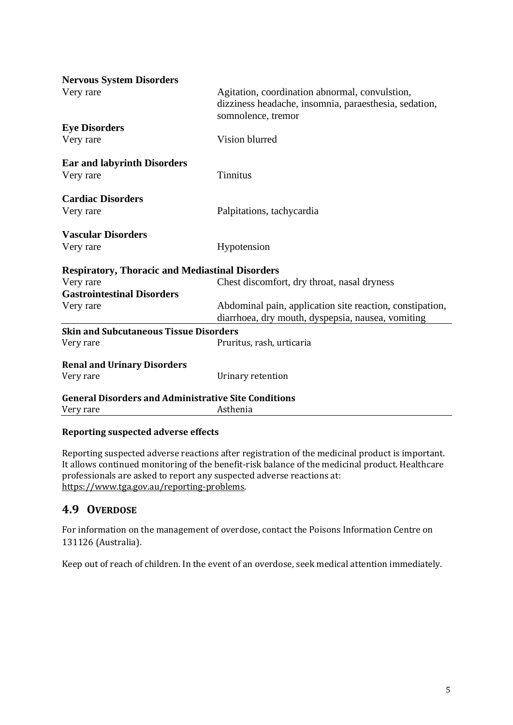| <b>Nervous System Disorders</b>                                          |                                                                                                                               |  |
|--------------------------------------------------------------------------|-------------------------------------------------------------------------------------------------------------------------------|--|
| Very rare                                                                | Agitation, coordination abnormal, convulstion,<br>dizziness headache, insomnia, paraesthesia, sedation,<br>somnolence, tremor |  |
| <b>Eye Disorders</b>                                                     |                                                                                                                               |  |
| Very rare                                                                | Vision blurred                                                                                                                |  |
| <b>Ear and labyrinth Disorders</b>                                       |                                                                                                                               |  |
| Very rare                                                                | <b>Tinnitus</b>                                                                                                               |  |
| <b>Cardiac Disorders</b>                                                 |                                                                                                                               |  |
| Very rare                                                                | Palpitations, tachycardia                                                                                                     |  |
| <b>Vascular Disorders</b>                                                |                                                                                                                               |  |
| Very rare                                                                | Hypotension                                                                                                                   |  |
| <b>Respiratory, Thoracic and Mediastinal Disorders</b>                   |                                                                                                                               |  |
| Very rare                                                                | Chest discomfort, dry throat, nasal dryness                                                                                   |  |
| <b>Gastrointestinal Disorders</b>                                        |                                                                                                                               |  |
| Very rare                                                                | Abdominal pain, application site reaction, constipation,<br>diarrhoea, dry mouth, dyspepsia, nausea, vomiting                 |  |
| <b>Skin and Subcutaneous Tissue Disorders</b>                            |                                                                                                                               |  |
| Very rare                                                                | Pruritus, rash, urticaria                                                                                                     |  |
| <b>Renal and Urinary Disorders</b>                                       |                                                                                                                               |  |
| Very rare                                                                | Urinary retention                                                                                                             |  |
| <b>General Disorders and Administrative Site Conditions</b><br>Very rare | Asthenia                                                                                                                      |  |

### **Reporting suspected adverse effects**

Reporting suspected adverse reactions after registration of the medicinal product is important. It allows continued monitoring of the benefit-risk balance of the medicinal product. Healthcare professionals are asked to report any suspected adverse reactions at: [https://www.tga.gov.au/reporting-problems.](https://www.tga.gov.au/reporting-problems)

## **4.9 OVERDOSE**

For information on the management of overdose, contact the Poisons Information Centre on 131126 (Australia).

Keep out of reach of children. In the event of an overdose, seek medical attention immediately.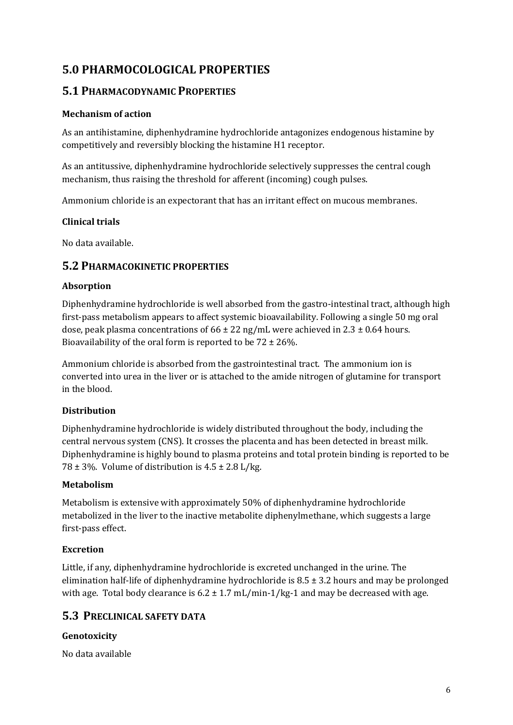# **5.0 PHARMOCOLOGICAL PROPERTIES**

## **5.1 PHARMACODYNAMIC PROPERTIES**

### **Mechanism of action**

As an antihistamine, diphenhydramine hydrochloride antagonizes endogenous histamine by competitively and reversibly blocking the histamine H1 receptor.

As an antitussive, diphenhydramine hydrochloride selectively suppresses the central cough mechanism, thus raising the threshold for afferent (incoming) cough pulses.

Ammonium chloride is an expectorant that has an irritant effect on mucous membranes.

### **Clinical trials**

No data available.

### **5.2 PHARMACOKINETIC PROPERTIES**

#### **Absorption**

Diphenhydramine hydrochloride is well absorbed from the gastro-intestinal tract, although high first-pass metabolism appears to affect systemic bioavailability. Following a single 50 mg oral dose, peak plasma concentrations of  $66 \pm 22$  ng/mL were achieved in 2.3  $\pm$  0.64 hours. Bioavailability of the oral form is reported to be  $72 \pm 26\%$ .

Ammonium chloride is absorbed from the gastrointestinal tract. The ammonium ion is converted into urea in the liver or is attached to the amide nitrogen of glutamine for transport in the blood.

### **Distribution**

Diphenhydramine hydrochloride is widely distributed throughout the body, including the central nervous system (CNS). It crosses the placenta and has been detected in breast milk. Diphenhydramine is highly bound to plasma proteins and total protein binding is reported to be 78  $\pm$  3%. Volume of distribution is 4.5  $\pm$  2.8 L/kg.

#### **Metabolism**

Metabolism is extensive with approximately 50% of diphenhydramine hydrochloride metabolized in the liver to the inactive metabolite diphenylmethane, which suggests a large first-pass effect.

### **Excretion**

Little, if any, diphenhydramine hydrochloride is excreted unchanged in the urine. The elimination half-life of diphenhydramine hydrochloride is  $8.5 \pm 3.2$  hours and may be prolonged with age. Total body clearance is  $6.2 \pm 1.7 \text{ mL/min-1/kg-1}$  and may be decreased with age.

### **5.3 PRECLINICAL SAFETY DATA**

### **Genotoxicity**

No data available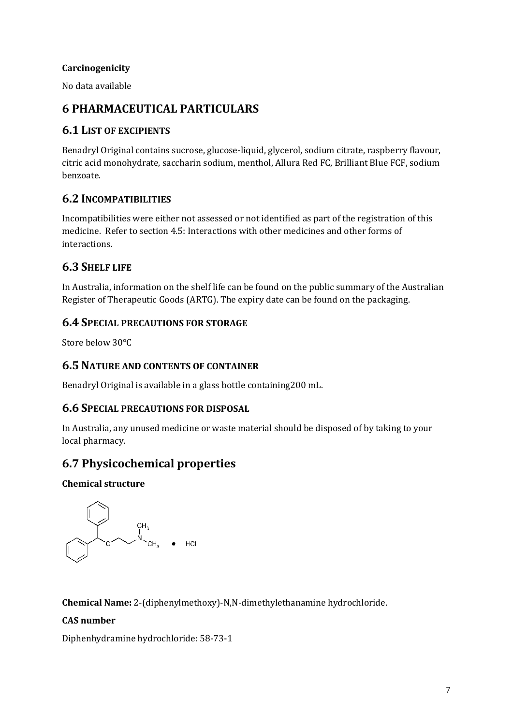### **Carcinogenicity**

No data available

# **6 PHARMACEUTICAL PARTICULARS**

## **6.1 LIST OF EXCIPIENTS**

Benadryl Original contains sucrose, glucose-liquid, glycerol, sodium citrate, raspberry flavour, citric acid monohydrate, saccharin sodium, menthol, Allura Red FC, Brilliant Blue FCF, sodium benzoate.

## **6.2 INCOMPATIBILITIES**

Incompatibilities were either not assessed or not identified as part of the registration of this medicine. Refer to section 4.5: Interactions with other medicines and other forms of interactions.

## **6.3 SHELF LIFE**

In Australia, information on the shelf life can be found on the public summary of the Australian Register of Therapeutic Goods (ARTG). The expiry date can be found on the packaging.

### **6.4 SPECIAL PRECAUTIONS FOR STORAGE**

Store below 30°C

### **6.5NATURE AND CONTENTS OF CONTAINER**

Benadryl Original is available in a glass bottle containing200 mL.

### **6.6 SPECIAL PRECAUTIONS FOR DISPOSAL**

In Australia, any unused medicine or waste material should be disposed of by taking to your local pharmacy.

# **6.7 Physicochemical properties**

**Chemical structure**



**Chemical Name:** 2-(diphenylmethoxy)-N,N-dimethylethanamine hydrochloride.

### **CAS number**

Diphenhydramine hydrochloride: 58-73-1